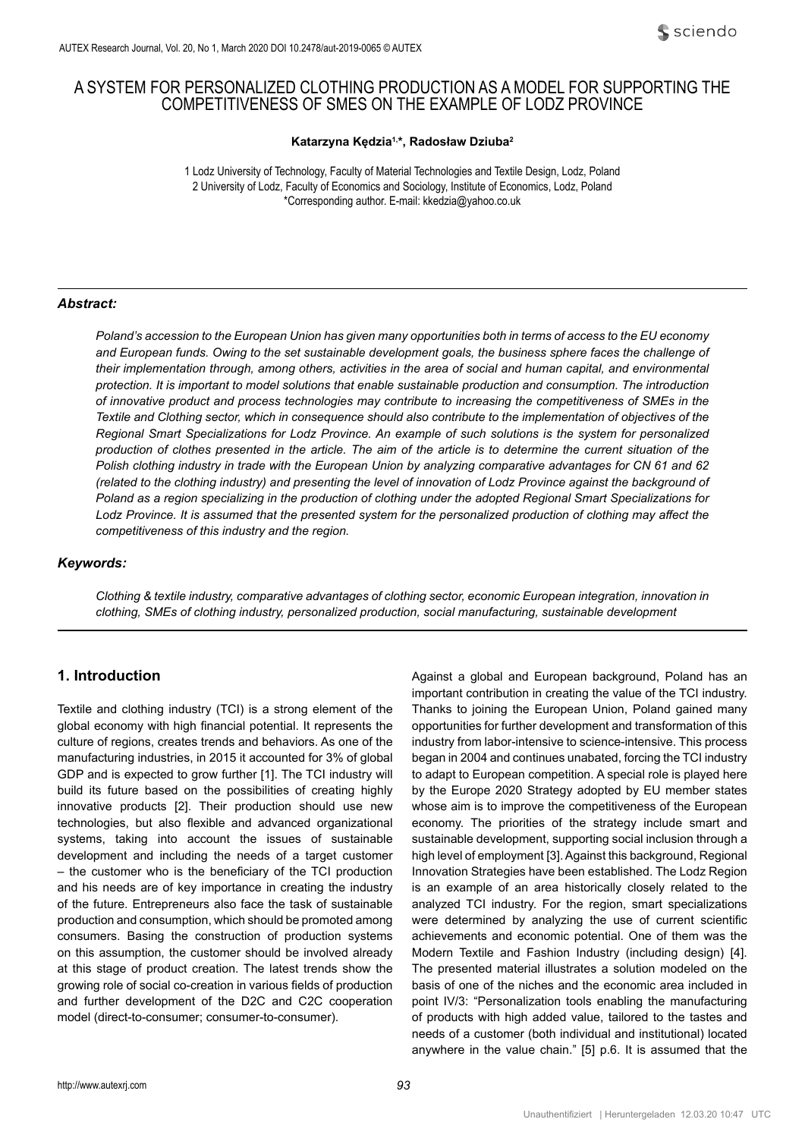# A SYSTEM FOR PERSONALIZED CLOTHING PRODUCTION AS A MODEL FOR SUPPORTING THE COMPETITIVENESS OF SMES ON THE EXAMPLE OF LODZ PROVINCE

### **Katarzyna Kędzia1,\*, Radosław Dziuba<sup>2</sup>**

1 Lodz University of Technology, Faculty of Material Technologies and Textile Design, Lodz, Poland 2 University of Lodz, Faculty of Economics and Sociology, Institute of Economics, Lodz, Poland \*Corresponding author. E-mail: [kkedzia@yahoo.co.uk](mailto:kkedzia@yahoo.co.uk)

### *Abstract:*

*Poland's accession to the European Union has given many opportunities both in terms of access to the EU economy and European funds. Owing to the set sustainable development goals, the business sphere faces the challenge of*  their implementation through, among others, activities in the area of social and human capital, and environmental *protection. It is important to model solutions that enable sustainable production and consumption. The introduction of innovative product and process technologies may contribute to increasing the competitiveness of SMEs in the Textile and Clothing sector, which in consequence should also contribute to the implementation of objectives of the Regional Smart Specializations for Lodz Province. An example of such solutions is the system for personalized production of clothes presented in the article. The aim of the article is to determine the current situation of the Polish clothing industry in trade with the European Union by analyzing comparative advantages for CN 61 and 62 (related to the clothing industry) and presenting the level of innovation of Lodz Province against the background of Poland as a region specializing in the production of clothing under the adopted Regional Smart Specializations for*  Lodz Province. It is assumed that the presented system for the personalized production of clothing may affect the *competitiveness of this industry and the region.*

#### *Keywords:*

*Clothing & textile industry, comparative advantages of clothing sector, economic European integration, innovation in clothing, SMEs of clothing industry, personalized production, social manufacturing, sustainable development*

# **1. Introduction**

Textile and clothing industry (TCI) is a strong element of the global economy with high financial potential. It represents the culture of regions, creates trends and behaviors. As one of the manufacturing industries, in 2015 it accounted for 3% of global GDP and is expected to grow further [1]. The TCI industry will build its future based on the possibilities of creating highly innovative products [2]. Their production should use new technologies, but also flexible and advanced organizational systems, taking into account the issues of sustainable development and including the needs of a target customer – the customer who is the beneficiary of the TCI production and his needs are of key importance in creating the industry of the future. Entrepreneurs also face the task of sustainable production and consumption, which should be promoted among consumers. Basing the construction of production systems on this assumption, the customer should be involved already at this stage of product creation. The latest trends show the growing role of social co-creation in various fields of production and further development of the D2C and C2C cooperation model (direct-to-consumer; consumer-to-consumer).

Against a global and European background, Poland has an important contribution in creating the value of the TCI industry. Thanks to joining the European Union, Poland gained many opportunities for further development and transformation of this industry from labor-intensive to science-intensive. This process began in 2004 and continues unabated, forcing the TCI industry to adapt to European competition. A special role is played here by the Europe 2020 Strategy adopted by EU member states whose aim is to improve the competitiveness of the European economy. The priorities of the strategy include smart and sustainable development, supporting social inclusion through a high level of employment [3]. Against this background, Regional Innovation Strategies have been established. The Lodz Region is an example of an area historically closely related to the analyzed TCI industry. For the region, smart specializations were determined by analyzing the use of current scientific achievements and economic potential. One of them was the Modern Textile and Fashion Industry (including design) [4]. The presented material illustrates a solution modeled on the basis of one of the niches and the economic area included in point IV/3: "Personalization tools enabling the manufacturing of products with high added value, tailored to the tastes and needs of a customer (both individual and institutional) located anywhere in the value chain." [5] p.6. It is assumed that the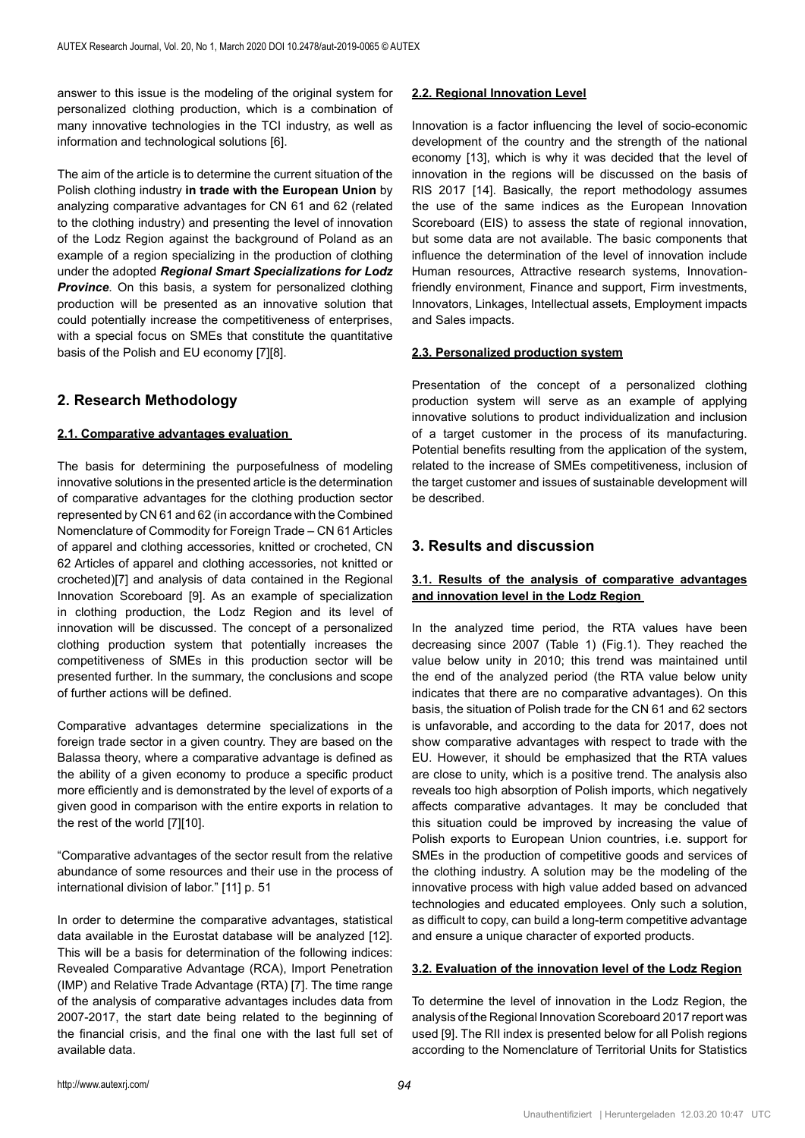answer to this issue is the modeling of the original system for personalized clothing production, which is a combination of many innovative technologies in the TCI industry, as well as information and technological solutions [6].

The aim of the article is to determine the current situation of the Polish clothing industry **in trade with the European Union** by analyzing comparative advantages for CN 61 and 62 (related to the clothing industry) and presenting the level of innovation of the Lodz Region against the background of Poland as an example of a region specializing in the production of clothing under the adopted *Regional Smart Specializations for Lodz*  **Province**. On this basis, a system for personalized clothing production will be presented as an innovative solution that could potentially increase the competitiveness of enterprises, with a special focus on SMEs that constitute the quantitative basis of the Polish and EU economy [7][8].

# **2. Research Methodology**

#### **2.1. Comparative advantages evaluation**

The basis for determining the purposefulness of modeling innovative solutions in the presented article is the determination of comparative advantages for the clothing production sector represented by CN 61 and 62 (in accordance with the Combined Nomenclature of Commodity for Foreign Trade – CN 61 Articles of apparel and clothing accessories, knitted or crocheted, CN 62 Articles of apparel and clothing accessories, not knitted or crocheted)[7] and analysis of data contained in the Regional Innovation Scoreboard [9]. As an example of specialization in clothing production, the Lodz Region and its level of innovation will be discussed. The concept of a personalized clothing production system that potentially increases the competitiveness of SMEs in this production sector will be presented further. In the summary, the conclusions and scope of further actions will be defined.

Comparative advantages determine specializations in the foreign trade sector in a given country. They are based on the Balassa theory, where a comparative advantage is defined as the ability of a given economy to produce a specific product more efficiently and is demonstrated by the level of exports of a given good in comparison with the entire exports in relation to the rest of the world [7][10].

"Comparative advantages of the sector result from the relative abundance of some resources and their use in the process of international division of labor." [11] p. 51

In order to determine the comparative advantages, statistical data available in the Eurostat database will be analyzed [12]. This will be a basis for determination of the following indices: Revealed Comparative Advantage (RCA), Import Penetration (IMP) and Relative Trade Advantage (RTA) [7]. The time range of the analysis of comparative advantages includes data from 2007-2017, the start date being related to the beginning of the financial crisis, and the final one with the last full set of available data.

### **2.2. Regional Innovation Level**

Innovation is a factor influencing the level of socio-economic development of the country and the strength of the national economy [13], which is why it was decided that the level of innovation in the regions will be discussed on the basis of RIS 2017 [14]. Basically, the report methodology assumes the use of the same indices as the European Innovation Scoreboard (EIS) to assess the state of regional innovation, but some data are not available. The basic components that influence the determination of the level of innovation include Human resources, Attractive research systems, Innovationfriendly environment, Finance and support, Firm investments, Innovators, Linkages, Intellectual assets, Employment impacts and Sales impacts.

### **2.3. Personalized production system**

Presentation of the concept of a personalized clothing production system will serve as an example of applying innovative solutions to product individualization and inclusion of a target customer in the process of its manufacturing. Potential benefits resulting from the application of the system, related to the increase of SMEs competitiveness, inclusion of the target customer and issues of sustainable development will be described.

# **3. Results and discussion**

## **3.1. Results of the analysis of comparative advantages and innovation level in the Lodz Region**

In the analyzed time period, the RTA values have been decreasing since 2007 (Table 1) (Fig.1). They reached the value below unity in 2010; this trend was maintained until the end of the analyzed period (the RTA value below unity indicates that there are no comparative advantages). On this basis, the situation of Polish trade for the CN 61 and 62 sectors is unfavorable, and according to the data for 2017, does not show comparative advantages with respect to trade with the EU. However, it should be emphasized that the RTA values are close to unity, which is a positive trend. The analysis also reveals too high absorption of Polish imports, which negatively affects comparative advantages. It may be concluded that this situation could be improved by increasing the value of Polish exports to European Union countries, i.e. support for SMEs in the production of competitive goods and services of the clothing industry. A solution may be the modeling of the innovative process with high value added based on advanced technologies and educated employees. Only such a solution, as difficult to copy, can build a long-term competitive advantage and ensure a unique character of exported products.

### **3.2. Evaluation of the innovation level of the Lodz Region**

To determine the level of innovation in the Lodz Region, the analysis of the Regional Innovation Scoreboard 2017 report was used [9]. The RII index is presented below for all Polish regions according to the Nomenclature of Territorial Units for Statistics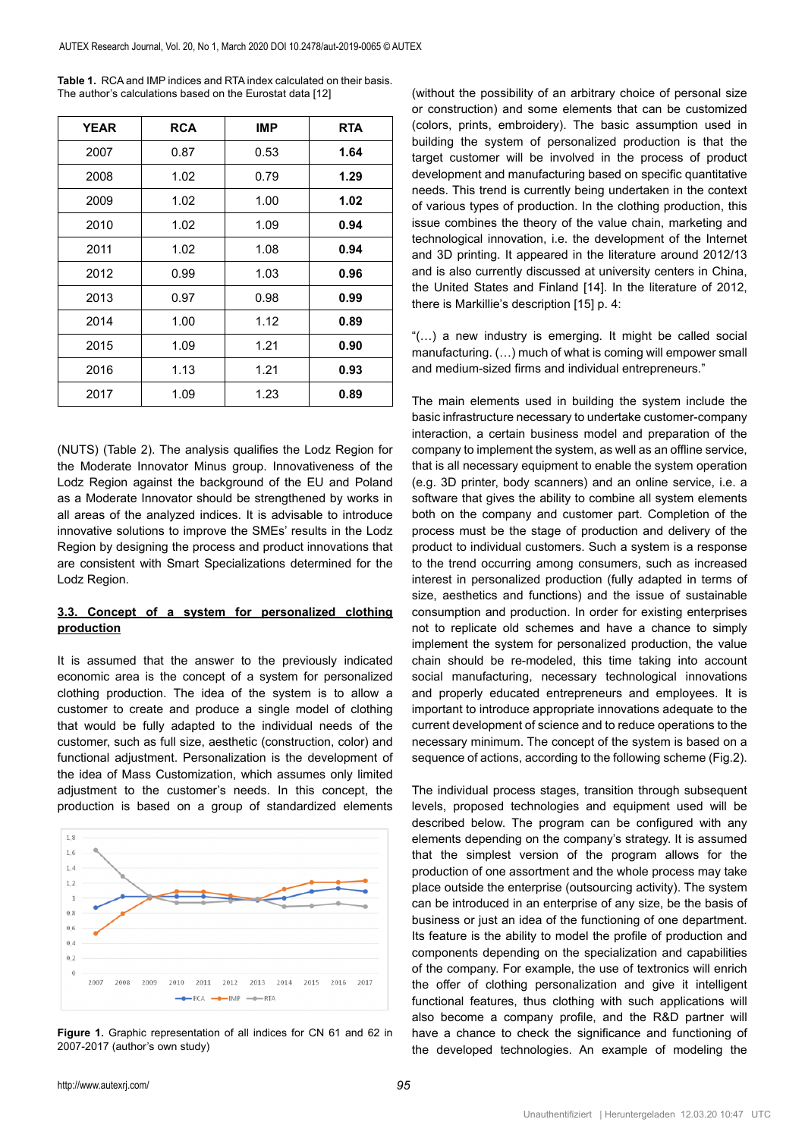| <b>YEAR</b> | <b>RCA</b> | <b>IMP</b> | <b>RTA</b> |
|-------------|------------|------------|------------|
| 2007        | 0.87       | 0.53       | 1.64       |
| 2008        | 1.02       | 0.79       | 1.29       |
| 2009        | 1.02       | 1.00       | 1.02       |
| 2010        | 1.02       | 1.09       | 0.94       |
| 2011        | 1.02       | 1.08       | 0.94       |
| 2012        | 0.99       | 1.03       | 0.96       |
| 2013        | 0.97       | 0.98       | 0.99       |
| 2014        | 1.00       | 1.12       | 0.89       |
| 2015        | 1.09       | 1.21       | 0.90       |
| 2016        | 1.13       | 1.21       | 0.93       |
| 2017        | 1.09       | 1.23       | 0.89       |

**Table 1.** RCA and IMP indices and RTA index calculated on their basis. The author's calculations based on the Eurostat data [12]

(NUTS) (Table 2). The analysis qualifies the Lodz Region for the Moderate Innovator Minus group. Innovativeness of the Lodz Region against the background of the EU and Poland as a Moderate Innovator should be strengthened by works in all areas of the analyzed indices. It is advisable to introduce innovative solutions to improve the SMEs' results in the Lodz Region by designing the process and product innovations that are consistent with Smart Specializations determined for the Lodz Region.

### **3.3. Concept of a system for personalized clothing production**

It is assumed that the answer to the previously indicated economic area is the concept of a system for personalized clothing production. The idea of the system is to allow a customer to create and produce a single model of clothing that would be fully adapted to the individual needs of the customer, such as full size, aesthetic (construction, color) and functional adjustment. Personalization is the development of the idea of Mass Customization, which assumes only limited adjustment to the customer's needs. In this concept, the production is based on a group of standardized elements

 $1,8$  $1.6$  $1.4$  $1.2$  $\overline{1}$  $0.8$  $0.6$  $0.4$  $0.2$  $\epsilon$ 2011 2013 2014 2016 2017  $-1MP$  $\rightarrow$  RTA

**Figure 1.** Graphic representation of all indices for CN 61 and 62 in 2007-2017 (author's own study)

(without the possibility of an arbitrary choice of personal size or construction) and some elements that can be customized (colors, prints, embroidery). The basic assumption used in building the system of personalized production is that the target customer will be involved in the process of product development and manufacturing based on specific quantitative needs. This trend is currently being undertaken in the context of various types of production. In the clothing production, this issue combines the theory of the value chain, marketing and technological innovation, i.e. the development of the Internet and 3D printing. It appeared in the literature around 2012/13 and is also currently discussed at university centers in China, the United States and Finland [14]. In the literature of 2012, there is Markillie's description [15] p. 4:

"(…) a new industry is emerging. It might be called social manufacturing. (…) much of what is coming will empower small and medium-sized firms and individual entrepreneurs."

The main elements used in building the system include the basic infrastructure necessary to undertake customer-company interaction, a certain business model and preparation of the company to implement the system, as well as an offline service, that is all necessary equipment to enable the system operation (e.g. 3D printer, body scanners) and an online service, i.e. a software that gives the ability to combine all system elements both on the company and customer part. Completion of the process must be the stage of production and delivery of the product to individual customers. Such a system is a response to the trend occurring among consumers, such as increased interest in personalized production (fully adapted in terms of size, aesthetics and functions) and the issue of sustainable consumption and production. In order for existing enterprises not to replicate old schemes and have a chance to simply implement the system for personalized production, the value chain should be re-modeled, this time taking into account social manufacturing, necessary technological innovations and properly educated entrepreneurs and employees. It is important to introduce appropriate innovations adequate to the current development of science and to reduce operations to the necessary minimum. The concept of the system is based on a sequence of actions, according to the following scheme (Fig.2).

The individual process stages, transition through subsequent levels, proposed technologies and equipment used will be described below. The program can be configured with any elements depending on the company's strategy. It is assumed that the simplest version of the program allows for the production of one assortment and the whole process may take place outside the enterprise (outsourcing activity). The system can be introduced in an enterprise of any size, be the basis of business or just an idea of the functioning of one department. Its feature is the ability to model the profile of production and components depending on the specialization and capabilities of the company. For example, the use of textronics will enrich the offer of clothing personalization and give it intelligent functional features, thus clothing with such applications will also become a company profile, and the R&D partner will have a chance to check the significance and functioning of the developed technologies. An example of modeling the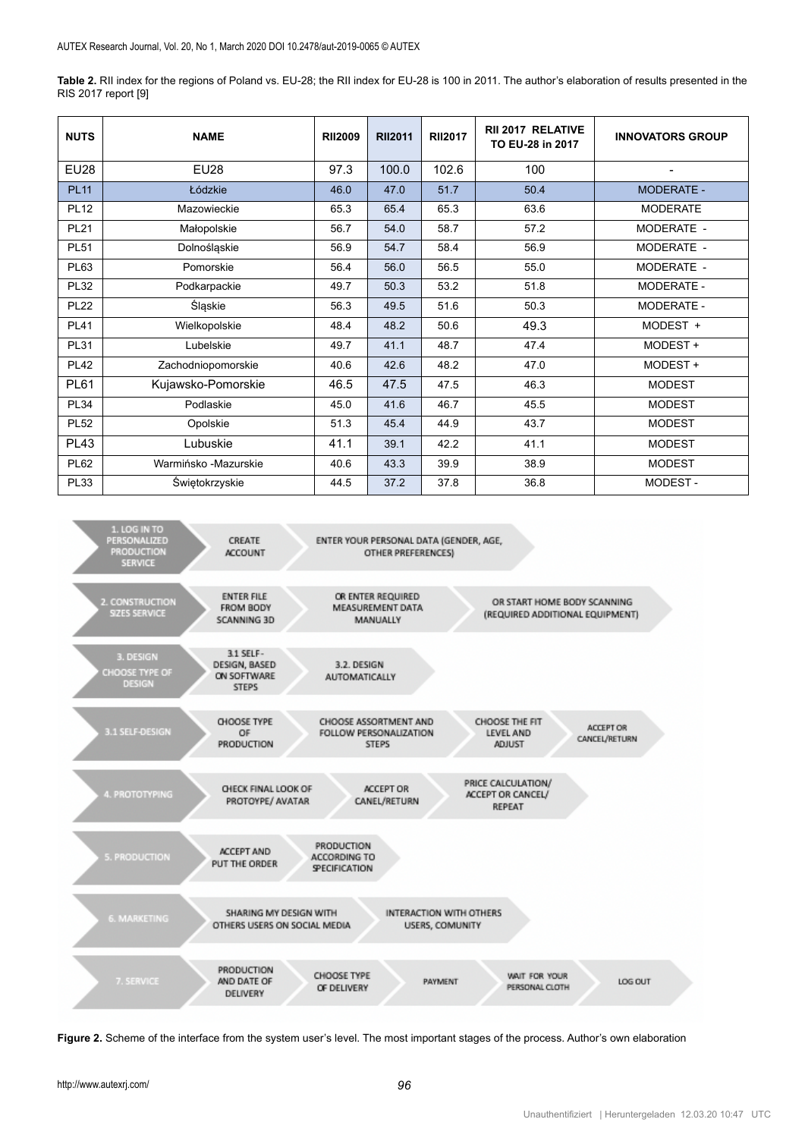**Table 2.** RII index for the regions of Poland vs. EU-28; the RII index for EU-28 is 100 in 2011. The author's elaboration of results presented in the RIS 2017 report [9]

| <b>NUTS</b> | <b>NAME</b>          | <b>RII2009</b> | <b>RII2011</b> | <b>RII2017</b> | <b>RII 2017 RELATIVE</b><br>TO EU-28 in 2017 | <b>INNOVATORS GROUP</b> |
|-------------|----------------------|----------------|----------------|----------------|----------------------------------------------|-------------------------|
| <b>EU28</b> | <b>EU28</b>          | 97.3           | 100.0          | 102.6          | 100                                          |                         |
| <b>PL11</b> | Łódzkie              | 46.0           | 47.0           | 51.7           | 50.4                                         | <b>MODERATE -</b>       |
| <b>PL12</b> | Mazowieckie          | 65.3           | 65.4           | 65.3           | 63.6                                         | <b>MODERATE</b>         |
| <b>PL21</b> | Małopolskie          | 56.7           | 54.0           | 58.7           | 57.2                                         | MODERATE -              |
| <b>PL51</b> | Dolnośląskie         | 56.9           | 54.7           | 58.4           | 56.9                                         | MODERATE -              |
| <b>PL63</b> | Pomorskie            | 56.4           | 56.0           | 56.5           | 55.0                                         | MODERATE -              |
| <b>PL32</b> | Podkarpackie         | 49.7           | 50.3           | 53.2           | 51.8                                         | MODERATE -              |
| <b>PL22</b> | Śląskie              | 56.3           | 49.5           | 51.6           | 50.3                                         | MODERATE -              |
| <b>PL41</b> | Wielkopolskie        | 48.4           | 48.2           | 50.6           | 49.3                                         | MODEST +                |
| <b>PL31</b> | Lubelskie            | 49.7           | 41.1           | 48.7           | 47.4                                         | MODEST +                |
| <b>PL42</b> | Zachodniopomorskie   | 40.6           | 42.6           | 48.2           | 47.0                                         | MODEST +                |
| <b>PL61</b> | Kujawsko-Pomorskie   | 46.5           | 47.5           | 47.5           | 46.3                                         | <b>MODEST</b>           |
| <b>PL34</b> | Podlaskie            | 45.0           | 41.6           | 46.7           | 45.5                                         | <b>MODEST</b>           |
| <b>PL52</b> | Opolskie             | 51.3           | 45.4           | 44.9           | 43.7                                         | <b>MODEST</b>           |
| <b>PL43</b> | Lubuskie             | 41.1           | 39.1           | 42.2           | 41.1                                         | <b>MODEST</b>           |
| <b>PL62</b> | Warmińsko -Mazurskie |                | 43.3           | 39.9           | 38.9                                         | <b>MODEST</b>           |
| <b>PL33</b> | Świętokrzyskie       |                | 37.2           | 37.8           | 36.8                                         | MODEST-                 |



**Figure 2.** Scheme of the interface from the system user's level. The most important stages of the process. Author's own elaboration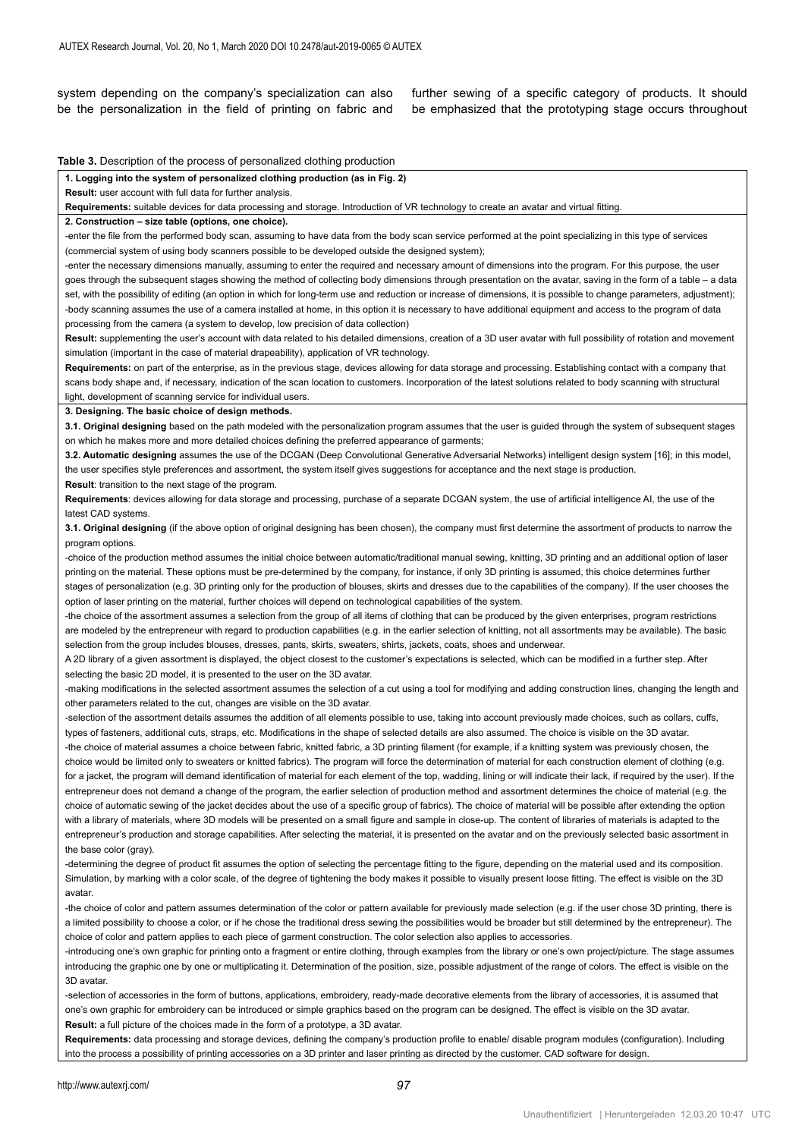system depending on the company's specialization can also be the personalization in the field of printing on fabric and further sewing of a specific category of products. It should be emphasized that the prototyping stage occurs throughout

**Table 3.** Description of the process of personalized clothing production

**1. Logging into the system of personalized clothing production (as in Fig. 2)**

**Result:** user account with full data for further analysis.

**Requirements:** suitable devices for data processing and storage. Introduction of VR technology to create an avatar and virtual fitting.

**2. Construction – size table (options, one choice).**

-enter the file from the performed body scan, assuming to have data from the body scan service performed at the point specializing in this type of services (commercial system of using body scanners possible to be developed outside the designed system);

-enter the necessary dimensions manually, assuming to enter the required and necessary amount of dimensions into the program. For this purpose, the user goes through the subsequent stages showing the method of collecting body dimensions through presentation on the avatar, saving in the form of a table - a data set, with the possibility of editing (an option in which for long-term use and reduction or increase of dimensions, it is possible to change parameters, adjustment); -body scanning assumes the use of a camera installed at home, in this option it is necessary to have additional equipment and access to the program of data processing from the camera (a system to develop, low precision of data collection)

**Result:** supplementing the user's account with data related to his detailed dimensions, creation of a 3D user avatar with full possibility of rotation and movement simulation (important in the case of material drapeability), application of VR technology.

**Requirements:** on part of the enterprise, as in the previous stage, devices allowing for data storage and processing. Establishing contact with a company that scans body shape and, if necessary, indication of the scan location to customers. Incorporation of the latest solutions related to body scanning with structural light, development of scanning service for individual users.

**3. Designing. The basic choice of design methods.**

**3.1. Original designing** based on the path modeled with the personalization program assumes that the user is guided through the system of subsequent stages on which he makes more and more detailed choices defining the preferred appearance of garments;

**3.2. Automatic designing** assumes the use of the DCGAN (Deep Convolutional Generative Adversarial Networks) intelligent design system [16]; in this model, the user specifies style preferences and assortment, the system itself gives suggestions for acceptance and the next stage is production.

**Result**: transition to the next stage of the program.

**Requirements**: devices allowing for data storage and processing, purchase of a separate DCGAN system, the use of artificial intelligence AI, the use of the latest CAD systems.

**3.1. Original designing** (if the above option of original designing has been chosen), the company must first determine the assortment of products to narrow the program options.

-choice of the production method assumes the initial choice between automatic/traditional manual sewing, knitting, 3D printing and an additional option of laser printing on the material. These options must be pre-determined by the company, for instance, if only 3D printing is assumed, this choice determines further stages of personalization (e.g. 3D printing only for the production of blouses, skirts and dresses due to the capabilities of the company). If the user chooses the option of laser printing on the material, further choices will depend on technological capabilities of the system.

-the choice of the assortment assumes a selection from the group of all items of clothing that can be produced by the given enterprises, program restrictions are modeled by the entrepreneur with regard to production capabilities (e.g. in the earlier selection of knitting, not all assortments may be available). The basic selection from the group includes blouses, dresses, pants, skirts, sweaters, shirts, jackets, coats, shoes and underwear.

A 2D library of a given assortment is displayed, the object closest to the customer's expectations is selected, which can be modified in a further step. After selecting the basic 2D model, it is presented to the user on the 3D avatar.

-making modifications in the selected assortment assumes the selection of a cut using a tool for modifying and adding construction lines, changing the length and other parameters related to the cut, changes are visible on the 3D avatar.

-selection of the assortment details assumes the addition of all elements possible to use, taking into account previously made choices, such as collars, cuffs, types of fasteners, additional cuts, straps, etc. Modifications in the shape of selected details are also assumed. The choice is visible on the 3D avatar. -the choice of material assumes a choice between fabric, knitted fabric, a 3D printing filament (for example, if a knitting system was previously chosen, the choice would be limited only to sweaters or knitted fabrics). The program will force the determination of material for each construction element of clothing (e.g. for a jacket, the program will demand identification of material for each element of the top, wadding, lining or will indicate their lack, if required by the user). If the entrepreneur does not demand a change of the program, the earlier selection of production method and assortment determines the choice of material (e.g. the choice of automatic sewing of the jacket decides about the use of a specific group of fabrics). The choice of material will be possible after extending the option with a library of materials, where 3D models will be presented on a small figure and sample in close-up. The content of libraries of materials is adapted to the entrepreneur's production and storage capabilities. After selecting the material, it is presented on the avatar and on the previously selected basic assortment in the base color (gray).

-determining the degree of product fit assumes the option of selecting the percentage fitting to the figure, depending on the material used and its composition. Simulation, by marking with a color scale, of the degree of tightening the body makes it possible to visually present loose fitting. The effect is visible on the 3D avatar.

-the choice of color and pattern assumes determination of the color or pattern available for previously made selection (e.g. if the user chose 3D printing, there is a limited possibility to choose a color, or if he chose the traditional dress sewing the possibilities would be broader but still determined by the entrepreneur). The choice of color and pattern applies to each piece of garment construction. The color selection also applies to accessories.

-introducing one's own graphic for printing onto a fragment or entire clothing, through examples from the library or one's own project/picture. The stage assumes introducing the graphic one by one or multiplicating it. Determination of the position, size, possible adjustment of the range of colors. The effect is visible on the 3D avatar.

-selection of accessories in the form of buttons, applications, embroidery, ready-made decorative elements from the library of accessories, it is assumed that one's own graphic for embroidery can be introduced or simple graphics based on the program can be designed. The effect is visible on the 3D avatar. **Result:** a full picture of the choices made in the form of a prototype, a 3D avatar.

**Requirements:** data processing and storage devices, defining the company's production profile to enable/ disable program modules (configuration). Including into the process a possibility of printing accessories on a 3D printer and laser printing as directed by the customer. CAD software for design.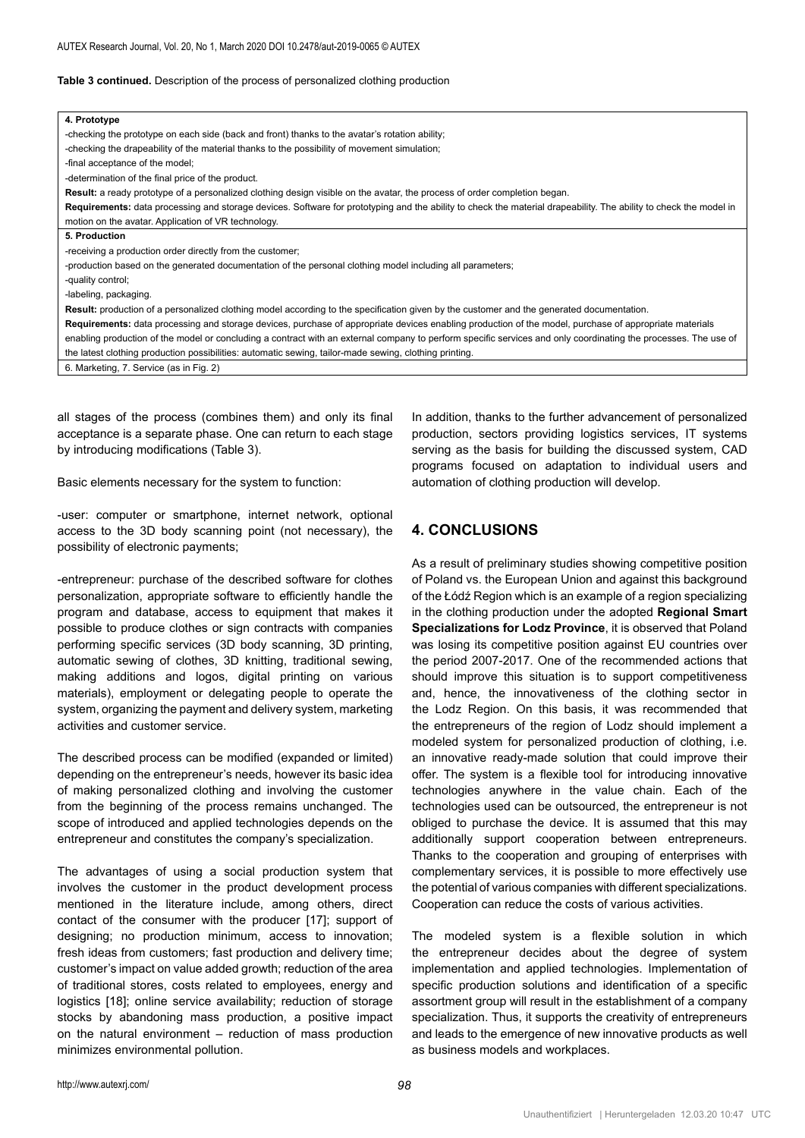#### **Table 3 continued.** Description of the process of personalized clothing production

| 4. Prototype                                                                                                                                                      |
|-------------------------------------------------------------------------------------------------------------------------------------------------------------------|
| -checking the prototype on each side (back and front) thanks to the avatar's rotation ability;                                                                    |
| -checking the drapeability of the material thanks to the possibility of movement simulation;                                                                      |
| -final acceptance of the model;                                                                                                                                   |
| -determination of the final price of the product.                                                                                                                 |
| Result: a ready prototype of a personalized clothing design visible on the avatar, the process of order completion began.                                         |
| Requirements: data processing and storage devices. Software for prototyping and the ability to check the material drapeability. The ability to check the model in |
| motion on the avatar. Application of VR technology.                                                                                                               |
| 5. Production                                                                                                                                                     |
| -receiving a production order directly from the customer;                                                                                                         |
| -production based on the generated documentation of the personal clothing model including all parameters;                                                         |
| -quality control;                                                                                                                                                 |
| -labeling, packaging.                                                                                                                                             |
| Result: production of a personalized clothing model according to the specification given by the customer and the generated documentation.                         |
| Requirements: data processing and storage devices, purchase of appropriate devices enabling production of the model, purchase of appropriate materials            |
| enabling production of the model or concluding a contract with an external company to perform specific services and only coordinating the processes. The use of   |
| the latest clothing production possibilities: automatic sewing, tailor-made sewing, clothing printing.                                                            |
| 6. Marketing, 7. Service (as in Fig. 2)                                                                                                                           |
|                                                                                                                                                                   |
|                                                                                                                                                                   |

all stages of the process (combines them) and only its final acceptance is a separate phase. One can return to each stage by introducing modifications (Table 3).

Basic elements necessary for the system to function:

-user: computer or smartphone, internet network, optional access to the 3D body scanning point (not necessary), the possibility of electronic payments;

-entrepreneur: purchase of the described software for clothes personalization, appropriate software to efficiently handle the program and database, access to equipment that makes it possible to produce clothes or sign contracts with companies performing specific services (3D body scanning, 3D printing, automatic sewing of clothes, 3D knitting, traditional sewing, making additions and logos, digital printing on various materials), employment or delegating people to operate the system, organizing the payment and delivery system, marketing activities and customer service.

The described process can be modified (expanded or limited) depending on the entrepreneur's needs, however its basic idea of making personalized clothing and involving the customer from the beginning of the process remains unchanged. The scope of introduced and applied technologies depends on the entrepreneur and constitutes the company's specialization.

The advantages of using a social production system that involves the customer in the product development process mentioned in the literature include, among others, direct contact of the consumer with the producer [17]; support of designing; no production minimum, access to innovation; fresh ideas from customers; fast production and delivery time; customer's impact on value added growth; reduction of the area of traditional stores, costs related to employees, energy and logistics [18]; online service availability; reduction of storage stocks by abandoning mass production, a positive impact on the natural environment – reduction of mass production minimizes environmental pollution.

In addition, thanks to the further advancement of personalized production, sectors providing logistics services, IT systems serving as the basis for building the discussed system, CAD programs focused on adaptation to individual users and automation of clothing production will develop.

# **4. CONCLUSIONS**

As a result of preliminary studies showing competitive position of Poland vs. the European Union and against this background of the Łódź Region which is an example of a region specializing in the clothing production under the adopted **Regional Smart Specializations for Lodz Province**, it is observed that Poland was losing its competitive position against EU countries over the period 2007-2017. One of the recommended actions that should improve this situation is to support competitiveness and, hence, the innovativeness of the clothing sector in the Lodz Region. On this basis, it was recommended that the entrepreneurs of the region of Lodz should implement a modeled system for personalized production of clothing, i.e. an innovative ready-made solution that could improve their offer. The system is a flexible tool for introducing innovative technologies anywhere in the value chain. Each of the technologies used can be outsourced, the entrepreneur is not obliged to purchase the device. It is assumed that this may additionally support cooperation between entrepreneurs. Thanks to the cooperation and grouping of enterprises with complementary services, it is possible to more effectively use the potential of various companies with different specializations. Cooperation can reduce the costs of various activities.

The modeled system is a flexible solution in which the entrepreneur decides about the degree of system implementation and applied technologies. Implementation of specific production solutions and identification of a specific assortment group will result in the establishment of a company specialization. Thus, it supports the creativity of entrepreneurs and leads to the emergence of new innovative products as well as business models and workplaces.